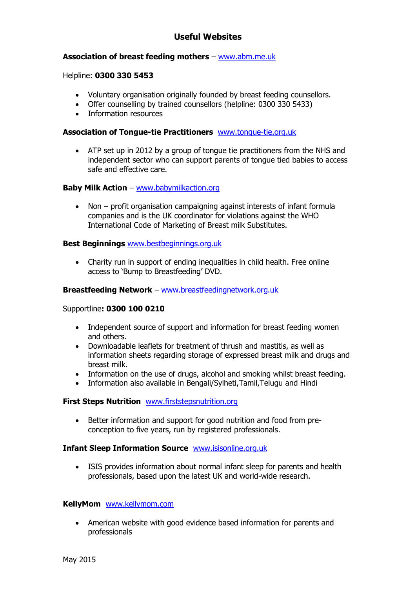# **Useful Websites**

## **Association of breast feeding mothers** – [www.abm.me.uk](http://www.abm.me.uk/)

### Helpline: **0300 330 5453**

- Voluntary organisation originally founded by breast feeding counsellors.
- Offer counselling by trained counsellors (helpline: 0300 330 5433)
- Information resources

### **Association of Tongue-tie Practitioners** [www.tongue-tie.org.uk](http://www.tongue-tie.org.uk/)

 ATP set up in 2012 by a group of tongue tie practitioners from the NHS and independent sector who can support parents of tongue tied babies to access safe and effective care.

## **Baby Milk Action** – [www.babymilkaction.org](http://www.babymilkaction.org/)

 Non – profit organisation campaigning against interests of infant formula companies and is the UK coordinator for violations against the WHO International Code of Marketing of Breast milk Substitutes.

### **Best Beginnings** [www.bestbeginnings.org.uk](http://www.bestbeginnings.org.uk/)

• Charity run in support of ending inequalities in child health. Free online access to 'Bump to Breastfeeding' DVD.

#### **Breastfeeding Network** – [www.breastfeedingnetwork.org.uk](http://www.breastfeedingnetwork.org.uk/)

#### Supportline**: 0300 100 0210**

- Independent source of support and information for breast feeding women and others.
- Downloadable leaflets for treatment of thrush and mastitis, as well as information sheets regarding storage of expressed breast milk and drugs and breast milk.
- Information on the use of drugs, alcohol and smoking whilst breast feeding.
- Information also available in Bengali/Sylheti,Tamil,Telugu and Hindi

#### **First Steps Nutrition** [www.firststepsnutrition.org](http://www.firststepsnutrition.org/)

 Better information and support for good nutrition and food from preconception to five years, run by registered professionals.

#### **Infant Sleep Information Source** [www.isisonline.org.uk](http://www.isisonline.org.uk/)

 ISIS provides information about normal infant sleep for parents and health professionals, based upon the latest UK and world-wide research.

#### **KellyMom** [www.kellymom.com](http://www.kellymom.com/)

• American website with good evidence based information for parents and professionals